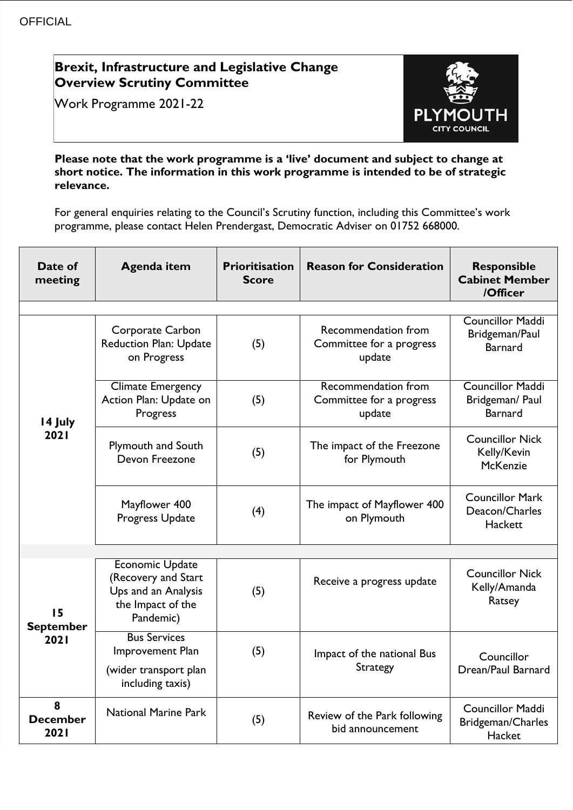## **Brexit, Infrastructure and Legislative Change Overview Scrutiny Committee**

Work Programme 2021-22



## **Please note that the work programme is a 'live' document and subject to change at short notice. The information in this work programme is intended to be of strategic relevance.**

For general enquiries relating to the Council's Scrutiny function, including this Committee's work programme, please contact Helen Prendergast, Democratic Adviser on 01752 668000.

| Date of<br>meeting             | <b>Agenda item</b>                                                                                     | <b>Prioritisation</b><br><b>Score</b> | <b>Reason for Consideration</b>                           | <b>Responsible</b><br><b>Cabinet Member</b><br>/Officer      |
|--------------------------------|--------------------------------------------------------------------------------------------------------|---------------------------------------|-----------------------------------------------------------|--------------------------------------------------------------|
|                                |                                                                                                        |                                       |                                                           |                                                              |
| 14 July<br>2021                | <b>Corporate Carbon</b><br><b>Reduction Plan: Update</b><br>on Progress                                | (5)                                   | Recommendation from<br>Committee for a progress<br>update | Councillor Maddi<br>Bridgeman/Paul<br><b>Barnard</b>         |
|                                | Climate Emergency<br>Action Plan: Update on<br>Progress                                                | (5)                                   | Recommendation from<br>Committee for a progress<br>update | <b>Councillor Maddi</b><br>Bridgeman/ Paul<br><b>Barnard</b> |
|                                | <b>Plymouth and South</b><br>Devon Freezone                                                            | (5)                                   | The impact of the Freezone<br>for Plymouth                | <b>Councillor Nick</b><br>Kelly/Kevin<br><b>McKenzie</b>     |
|                                | Mayflower 400<br>Progress Update                                                                       | (4)                                   | The impact of Mayflower 400<br>on Plymouth                | <b>Councillor Mark</b><br>Deacon/Charles<br>Hackett          |
|                                |                                                                                                        |                                       |                                                           |                                                              |
| 15<br><b>September</b><br>2021 | <b>Economic Update</b><br>(Recovery and Start<br>Ups and an Analysis<br>the Impact of the<br>Pandemic) | (5)                                   | Receive a progress update                                 | <b>Councillor Nick</b><br>Kelly/Amanda<br>Ratsey             |
|                                | <b>Bus Services</b><br>Improvement Plan<br>(wider transport plan<br>including taxis)                   | (5)                                   | Impact of the national Bus<br><b>Strategy</b>             | Councillor<br>Drean/Paul Barnard                             |
| 8<br><b>December</b><br>2021   | <b>National Marine Park</b>                                                                            | (5)                                   | Review of the Park following<br>bid announcement          | <b>Councillor Maddi</b><br>Bridgeman/Charles<br>Hacket       |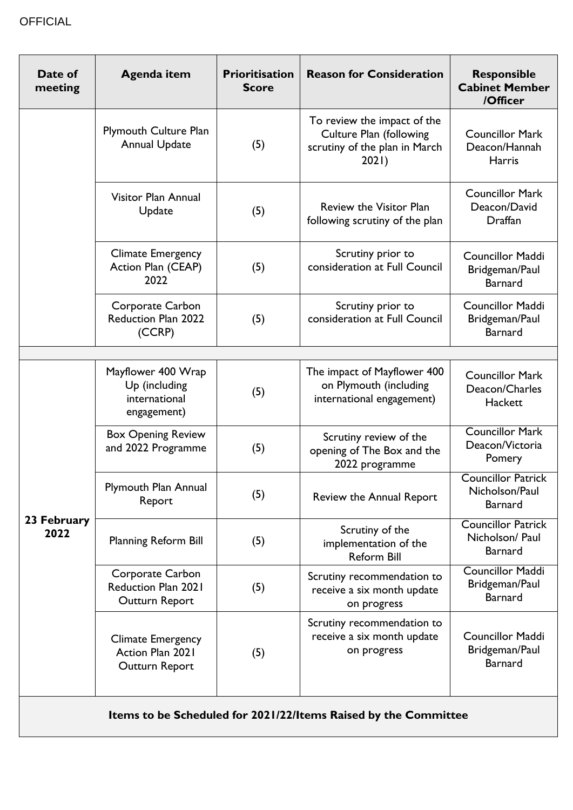| Date of<br>meeting                                              | <b>Agenda item</b>                                                  | <b>Prioritisation</b><br><b>Score</b> | <b>Reason for Consideration</b>                                                                         | <b>Responsible</b><br><b>Cabinet Member</b><br>/Officer     |  |  |
|-----------------------------------------------------------------|---------------------------------------------------------------------|---------------------------------------|---------------------------------------------------------------------------------------------------------|-------------------------------------------------------------|--|--|
|                                                                 | <b>Plymouth Culture Plan</b><br><b>Annual Update</b>                | (5)                                   | To review the impact of the<br><b>Culture Plan (following</b><br>scrutiny of the plan in March<br>2021) | <b>Councillor Mark</b><br>Deacon/Hannah<br><b>Harris</b>    |  |  |
|                                                                 | Visitor Plan Annual<br>Update                                       | (5)                                   | Review the Visitor Plan<br>following scrutiny of the plan                                               | <b>Councillor Mark</b><br>Deacon/David<br>Draffan           |  |  |
|                                                                 | <b>Climate Emergency</b><br>Action Plan (CEAP)<br>2022              | (5)                                   | Scrutiny prior to<br>consideration at Full Council                                                      | <b>Councillor Maddi</b><br>Bridgeman/Paul<br><b>Barnard</b> |  |  |
|                                                                 | Corporate Carbon<br><b>Reduction Plan 2022</b><br>(CCRP)            | (5)                                   | Scrutiny prior to<br>consideration at Full Council                                                      | <b>Councillor Maddi</b><br>Bridgeman/Paul<br><b>Barnard</b> |  |  |
|                                                                 |                                                                     |                                       |                                                                                                         |                                                             |  |  |
| 23 February<br>2022                                             | Mayflower 400 Wrap<br>Up (including<br>international<br>engagement) | (5)                                   | The impact of Mayflower 400<br>on Plymouth (including<br>international engagement)                      | <b>Councillor Mark</b><br>Deacon/Charles<br>Hackett         |  |  |
|                                                                 | <b>Box Opening Review</b><br>and 2022 Programme                     | (5)                                   | Scrutiny review of the<br>opening of The Box and the<br>2022 programme                                  | <b>Councillor Mark</b><br>Deacon/Victoria<br>Pomery         |  |  |
|                                                                 | Plymouth Plan Annual<br>Report                                      | (5)                                   | Review the Annual Report                                                                                | <b>Councillor Patrick</b><br>Nicholson/Paul<br>Barnard      |  |  |
|                                                                 | <b>Planning Reform Bill</b>                                         | (5)                                   | Scrutiny of the<br>implementation of the<br><b>Reform Bill</b>                                          | <b>Councillor Patrick</b><br>Nicholson/ Paul<br>Barnard     |  |  |
|                                                                 | Corporate Carbon<br>Reduction Plan 2021<br>Outturn Report           | (5)                                   | Scrutiny recommendation to<br>receive a six month update<br>on progress                                 | <b>Councillor Maddi</b><br>Bridgeman/Paul<br>Barnard        |  |  |
|                                                                 | <b>Climate Emergency</b><br>Action Plan 2021<br>Outturn Report      | (5)                                   | Scrutiny recommendation to<br>receive a six month update<br>on progress                                 | <b>Councillor Maddi</b><br>Bridgeman/Paul<br><b>Barnard</b> |  |  |
| Items to be Scheduled for 2021/22/Items Raised by the Committee |                                                                     |                                       |                                                                                                         |                                                             |  |  |